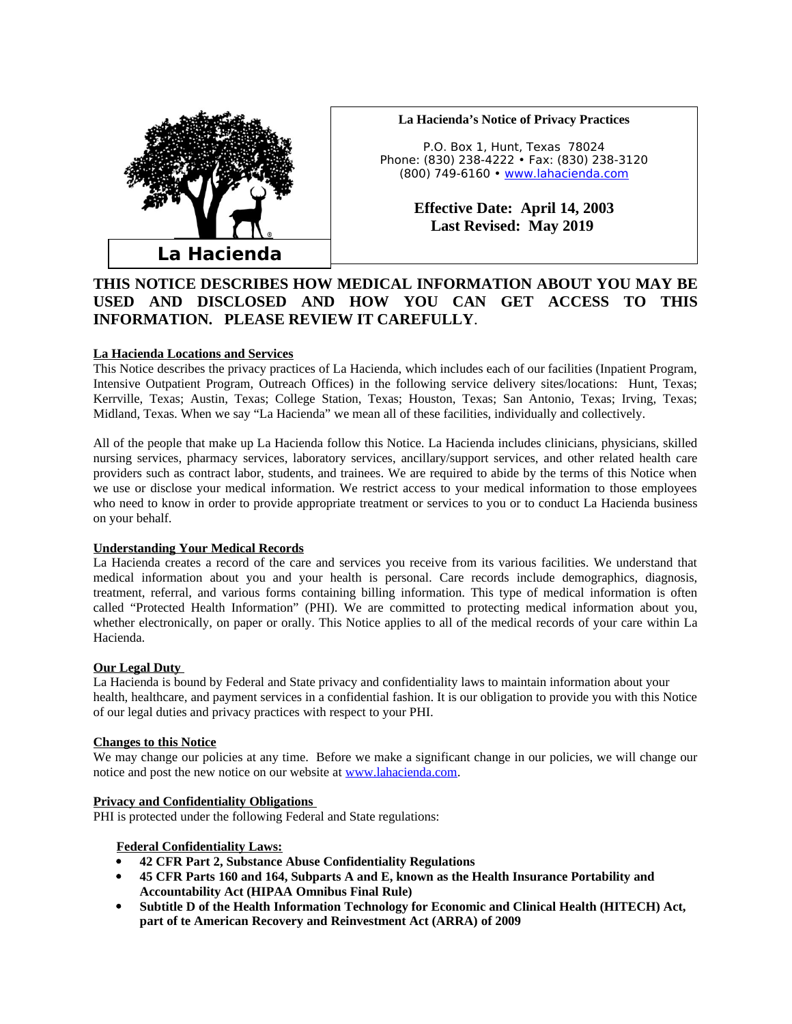

# **La Hacienda's Notice of Privacy Practices**

P.O. Box 1, Hunt, Texas 78024 Phone: (830) 238-4222 • Fax: (830) 238-3120 (800) 749-6160 • [www.lahacienda.com](http://www.lahacienda.com/)

> **Effective Date: April 14, 2003 Last Revised: May 2019**

# **THIS NOTICE DESCRIBES HOW MEDICAL INFORMATION ABOUT YOU MAY BE USED AND DISCLOSED AND HOW YOU CAN GET ACCESS TO THIS INFORMATION. PLEASE REVIEW IT CAREFULLY**.

# **La Hacienda Locations and Services**

This Notice describes the privacy practices of La Hacienda, which includes each of our facilities (Inpatient Program, Intensive Outpatient Program, Outreach Offices) in the following service delivery sites/locations: Hunt, Texas; Kerrville, Texas; Austin, Texas; College Station, Texas; Houston, Texas; San Antonio, Texas; Irving, Texas; Midland, Texas. When we say "La Hacienda" we mean all of these facilities, individually and collectively.

All of the people that make up La Hacienda follow this Notice. La Hacienda includes clinicians, physicians, skilled nursing services, pharmacy services, laboratory services, ancillary/support services, and other related health care providers such as contract labor, students, and trainees. We are required to abide by the terms of this Notice when we use or disclose your medical information. We restrict access to your medical information to those employees who need to know in order to provide appropriate treatment or services to you or to conduct La Hacienda business on your behalf.

### **Understanding Your Medical Records**

La Hacienda creates a record of the care and services you receive from its various facilities. We understand that medical information about you and your health is personal. Care records include demographics, diagnosis, treatment, referral, and various forms containing billing information. This type of medical information is often called "Protected Health Information" (PHI). We are committed to protecting medical information about you, whether electronically, on paper or orally. This Notice applies to all of the medical records of your care within La Hacienda.

### **Our Legal Duty**

La Hacienda is bound by Federal and State privacy and confidentiality laws to maintain information about your health, healthcare, and payment services in a confidential fashion. It is our obligation to provide you with this Notice of our legal duties and privacy practices with respect to your PHI.

### **Changes to this Notice**

We may change our policies at any time. Before we make a significant change in our policies, we will change our notice and post the new notice on our website at www.lahacienda.com.

### **Privacy and Confidentiality Obligations**

PHI is protected under the following Federal and State regulations:

# **Federal Confidentiality Laws:**

- **42 CFR Part 2, Substance Abuse Confidentiality Regulations**
- **45 CFR Parts 160 and 164, Subparts A and E, known as the Health Insurance Portability and Accountability Act (HIPAA Omnibus Final Rule)**
- **Subtitle D of the Health Information Technology for Economic and Clinical Health (HITECH) Act, part of te American Recovery and Reinvestment Act (ARRA) of 2009**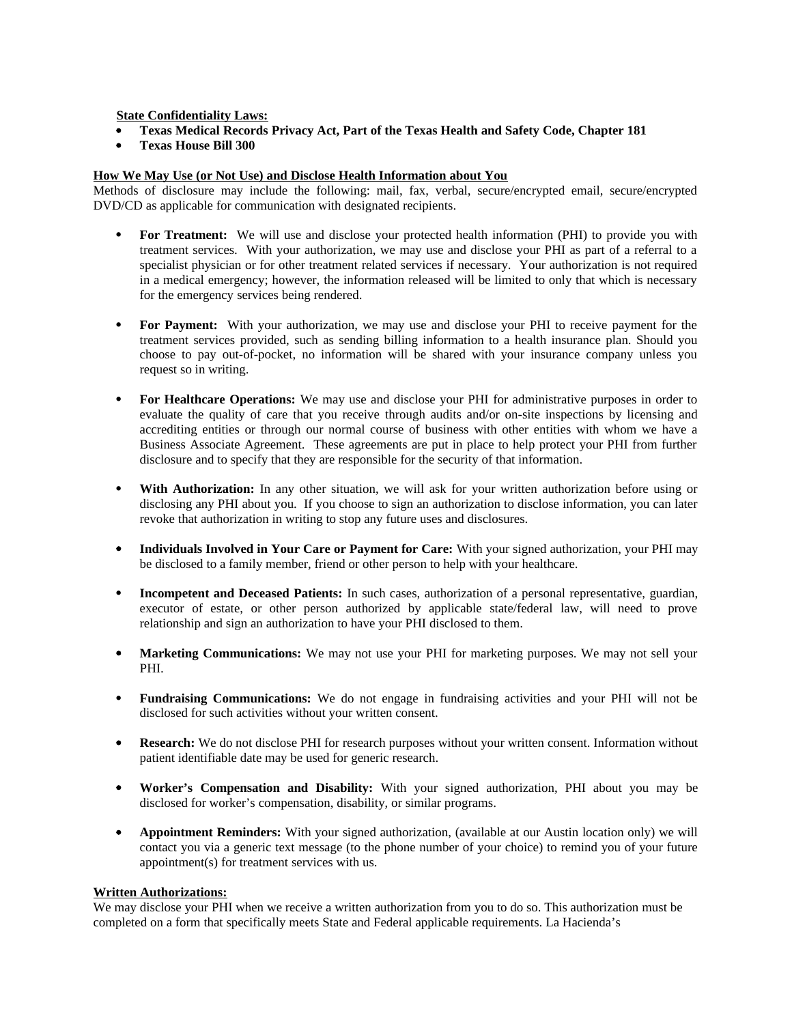**State Confidentiality Laws:**

- **Texas Medical Records Privacy Act, Part of the Texas Health and Safety Code, Chapter 181**
- **Texas House Bill 300**

# **How We May Use (or Not Use) and Disclose Health Information about You**

Methods of disclosure may include the following: mail, fax, verbal, secure/encrypted email, secure/encrypted DVD/CD as applicable for communication with designated recipients.

- **For Treatment:** We will use and disclose your protected health information (PHI) to provide you with treatment services. With your authorization, we may use and disclose your PHI as part of a referral to a specialist physician or for other treatment related services if necessary. Your authorization is not required in a medical emergency; however, the information released will be limited to only that which is necessary for the emergency services being rendered.
- **For Payment:** With your authorization, we may use and disclose your PHI to receive payment for the treatment services provided, such as sending billing information to a health insurance plan. Should you choose to pay out-of-pocket, no information will be shared with your insurance company unless you request so in writing.
- **For Healthcare Operations:** We may use and disclose your PHI for administrative purposes in order to evaluate the quality of care that you receive through audits and/or on-site inspections by licensing and accrediting entities or through our normal course of business with other entities with whom we have a Business Associate Agreement. These agreements are put in place to help protect your PHI from further disclosure and to specify that they are responsible for the security of that information.
- **With Authorization:** In any other situation, we will ask for your written authorization before using or disclosing any PHI about you. If you choose to sign an authorization to disclose information, you can later revoke that authorization in writing to stop any future uses and disclosures.
- **Individuals Involved in Your Care or Payment for Care:** With your signed authorization, your PHI may be disclosed to a family member, friend or other person to help with your healthcare.
- **Incompetent and Deceased Patients:** In such cases, authorization of a personal representative, guardian, executor of estate, or other person authorized by applicable state/federal law, will need to prove relationship and sign an authorization to have your PHI disclosed to them.
- **Marketing Communications:** We may not use your PHI for marketing purposes. We may not sell your PHI.
- **Fundraising Communications:** We do not engage in fundraising activities and your PHI will not be disclosed for such activities without your written consent.
- **Research:** We do not disclose PHI for research purposes without your written consent. Information without patient identifiable date may be used for generic research.
- **Worker's Compensation and Disability:** With your signed authorization, PHI about you may be disclosed for worker's compensation, disability, or similar programs.
- **Appointment Reminders:** With your signed authorization, (available at our Austin location only) we will contact you via a generic text message (to the phone number of your choice) to remind you of your future appointment(s) for treatment services with us.

### **Written Authorizations:**

We may disclose your PHI when we receive a written authorization from you to do so. This authorization must be completed on a form that specifically meets State and Federal applicable requirements. La Hacienda's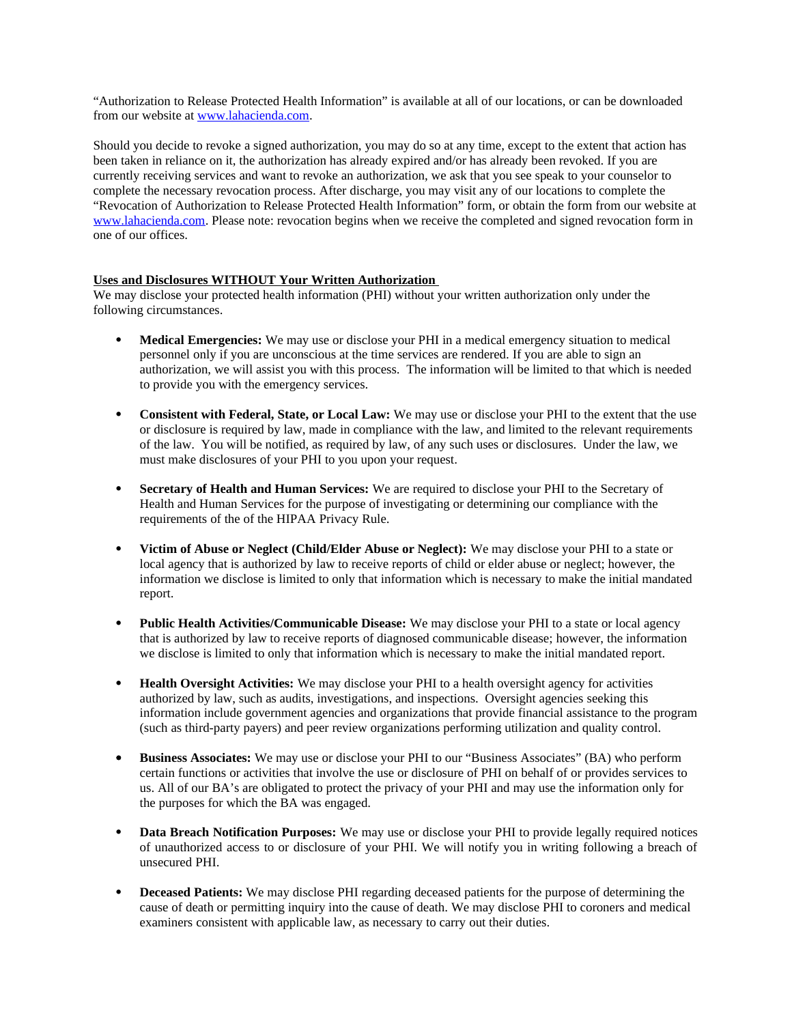"Authorization to Release Protected Health Information" is available at all of our locations, or can be downloaded from our website at www.lahacienda.com.

Should you decide to revoke a signed authorization, you may do so at any time, except to the extent that action has been taken in reliance on it, the authorization has already expired and/or has already been revoked. If you are currently receiving services and want to revoke an authorization, we ask that you see speak to your counselor to complete the necessary revocation process. After discharge, you may visit any of our locations to complete the "Revocation of Authorization to Release Protected Health Information" form, or obtain the form from our website at www.lahacienda.com. Please note: revocation begins when we receive the completed and signed revocation form in one of our offices.

# **Uses and Disclosures WITHOUT Your Written Authorization**

We may disclose your protected health information (PHI) without your written authorization only under the following circumstances.

- **Medical Emergencies:** We may use or disclose your PHI in a medical emergency situation to medical personnel only if you are unconscious at the time services are rendered. If you are able to sign an authorization, we will assist you with this process. The information will be limited to that which is needed to provide you with the emergency services.
- **Consistent with Federal, State, or Local Law:** We may use or disclose your PHI to the extent that the use or disclosure is required by law, made in compliance with the law, and limited to the relevant requirements of the law. You will be notified, as required by law, of any such uses or disclosures. Under the law, we must make disclosures of your PHI to you upon your request.
- **Secretary of Health and Human Services:** We are required to disclose your PHI to the Secretary of Health and Human Services for the purpose of investigating or determining our compliance with the requirements of the of the HIPAA Privacy Rule.
- **Victim of Abuse or Neglect (Child/Elder Abuse or Neglect):** We may disclose your PHI to a state or local agency that is authorized by law to receive reports of child or elder abuse or neglect; however, the information we disclose is limited to only that information which is necessary to make the initial mandated report.
- **Public Health Activities/Communicable Disease:** We may disclose your PHI to a state or local agency that is authorized by law to receive reports of diagnosed communicable disease; however, the information we disclose is limited to only that information which is necessary to make the initial mandated report.
- **Health Oversight Activities:** We may disclose your PHI to a health oversight agency for activities authorized by law, such as audits, investigations, and inspections. Oversight agencies seeking this information include government agencies and organizations that provide financial assistance to the program (such as third-party payers) and peer review organizations performing utilization and quality control.
- **Business Associates:** We may use or disclose your PHI to our "Business Associates" (BA) who perform certain functions or activities that involve the use or disclosure of PHI on behalf of or provides services to us. All of our BA's are obligated to protect the privacy of your PHI and may use the information only for the purposes for which the BA was engaged.
- **Data Breach Notification Purposes:** We may use or disclose your PHI to provide legally required notices of unauthorized access to or disclosure of your PHI. We will notify you in writing following a breach of unsecured PHI.
- **Deceased Patients:** We may disclose PHI regarding deceased patients for the purpose of determining the cause of death or permitting inquiry into the cause of death. We may disclose PHI to coroners and medical examiners consistent with applicable law, as necessary to carry out their duties.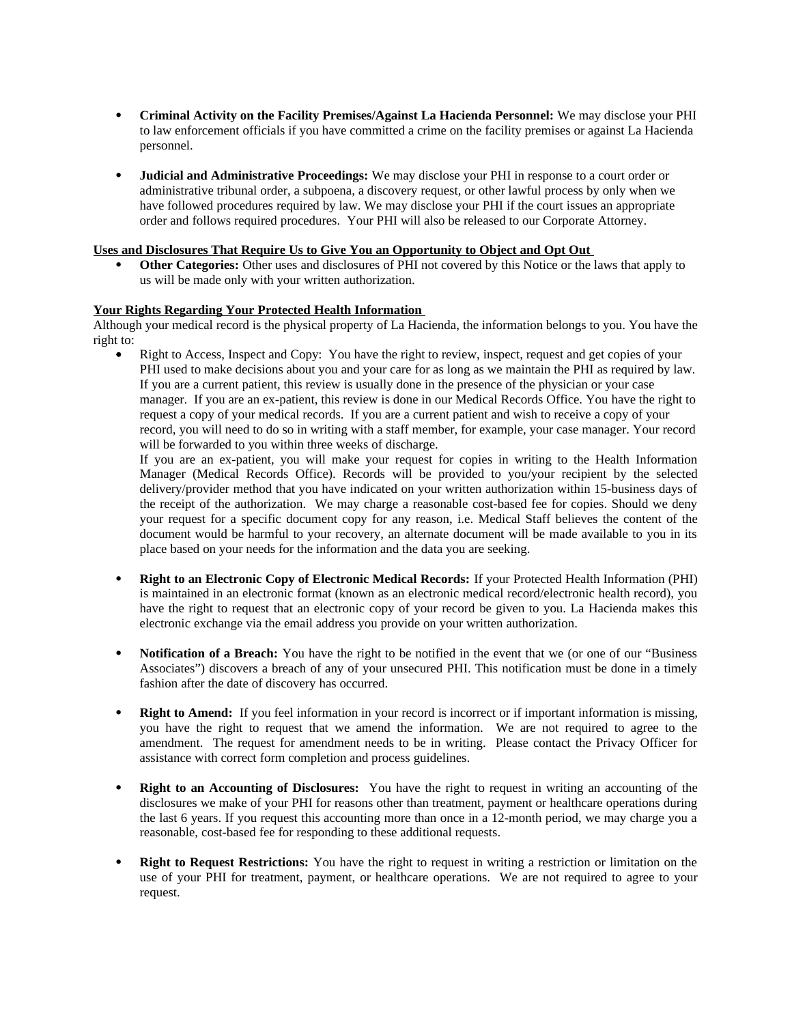- **Criminal Activity on the Facility Premises/Against La Hacienda Personnel:** We may disclose your PHI to law enforcement officials if you have committed a crime on the facility premises or against La Hacienda personnel.
- **Judicial and Administrative Proceedings:** We may disclose your PHI in response to a court order or administrative tribunal order, a subpoena, a discovery request, or other lawful process by only when we have followed procedures required by law. We may disclose your PHI if the court issues an appropriate order and follows required procedures. Your PHI will also be released to our Corporate Attorney.

# **Uses and Disclosures That Require Us to Give You an Opportunity to Object and Opt Out**

 **Other Categories:** Other uses and disclosures of PHI not covered by this Notice or the laws that apply to us will be made only with your written authorization.

# **Your Rights Regarding Your Protected Health Information**

Although your medical record is the physical property of La Hacienda, the information belongs to you. You have the right to:

 Right to Access, Inspect and Copy: You have the right to review, inspect, request and get copies of your PHI used to make decisions about you and your care for as long as we maintain the PHI as required by law. If you are a current patient, this review is usually done in the presence of the physician or your case manager. If you are an ex-patient, this review is done in our Medical Records Office. You have the right to request a copy of your medical records. If you are a current patient and wish to receive a copy of your record, you will need to do so in writing with a staff member, for example, your case manager. Your record will be forwarded to you within three weeks of discharge.

If you are an ex-patient, you will make your request for copies in writing to the Health Information Manager (Medical Records Office). Records will be provided to you/your recipient by the selected delivery/provider method that you have indicated on your written authorization within 15-business days of the receipt of the authorization. We may charge a reasonable cost-based fee for copies. Should we deny your request for a specific document copy for any reason, i.e. Medical Staff believes the content of the document would be harmful to your recovery, an alternate document will be made available to you in its place based on your needs for the information and the data you are seeking.

- **Right to an Electronic Copy of Electronic Medical Records:** If your Protected Health Information (PHI) is maintained in an electronic format (known as an electronic medical record/electronic health record), you have the right to request that an electronic copy of your record be given to you. La Hacienda makes this electronic exchange via the email address you provide on your written authorization.
- **Notification of a Breach:** You have the right to be notified in the event that we (or one of our "Business Associates") discovers a breach of any of your unsecured PHI. This notification must be done in a timely fashion after the date of discovery has occurred.
- **Right to Amend:** If you feel information in your record is incorrect or if important information is missing, you have the right to request that we amend the information. We are not required to agree to the amendment. The request for amendment needs to be in writing. Please contact the Privacy Officer for assistance with correct form completion and process guidelines.
- **Right to an Accounting of Disclosures:** You have the right to request in writing an accounting of the disclosures we make of your PHI for reasons other than treatment, payment or healthcare operations during the last 6 years. If you request this accounting more than once in a 12-month period, we may charge you a reasonable, cost-based fee for responding to these additional requests.
- **Right to Request Restrictions:** You have the right to request in writing a restriction or limitation on the use of your PHI for treatment, payment, or healthcare operations. We are not required to agree to your request.